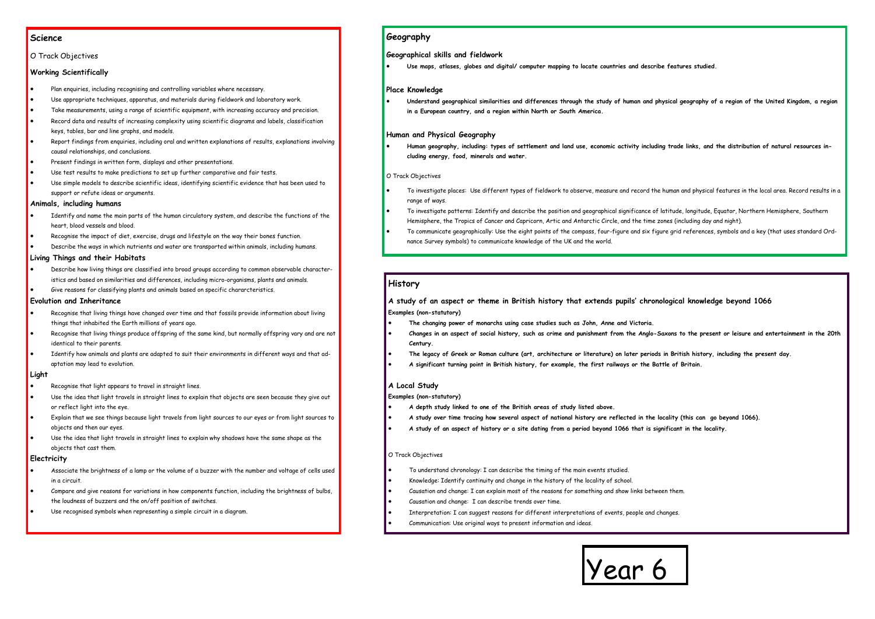## **Science**

## O Track Objectives

## **Working Scientifically**

- Plan enquiries, including recognising and controlling variables where necessary.
- Use appropriate techniques, apparatus, and materials during fieldwork and laboratory work.
- Take measurements, using a range of scientific equipment, with increasing accuracy and precision.
- Record data and results of increasing complexity using scientific diagrams and labels, classification keys, tables, bar and line graphs, and models.
- Report findings from enquiries, including oral and written explanations of results, explanations involving causal relationships, and conclusions.
- Present findings in written form, displays and other presentations.
- Use test results to make predictions to set up further comparative and fair tests.
- Use simple models to describe scientific ideas, identifying scientific evidence that has been used to support or refute ideas or arguments.

## **Animals, including humans**

- Identify and name the main parts of the human circulatory system, and describe the functions of the heart, blood vessels and blood.
- Recognise the impact of diet, exercise, drugs and lifestyle on the way their bones function.
- Describe the ways in which nutrients and water are transported within animals, including humans.

## **Living Things and their Habitats**

- Describe how living things are classified into broad groups according to common observable characteristics and based on similarities and differences, including micro-organisms, plants and animals.
- Give reasons for classifying plants and animals based on specific chararcteristics.

## **Evolution and Inheritance**

- Recognise that living things have changed over time and that fossils provide information about living things that inhabited the Earth millions of years ago.
- Recognise that living things produce offspring of the same kind, but normally offspring vary and are not identical to their parents.
- Identify how animals and plants are adapted to suit their environments in different ways and that adaptation may lead to evolution.

### **Light**

- Recognise that light appears to travel in straight lines.
- Use the idea that light travels in straight lines to explain that objects are seen because they give out or reflect light into the eye.
- Explain that we see things because light travels from light sources to our eyes or from light sources to objects and then our eyes.
- Use the idea that light travels in straight lines to explain why shadows have the same shape as the objects that cast them.

## **Electricity**

- Associate the brightness of a lamp or the volume of a buzzer with the number and voltage of cells used in a circuit.
- Compare and give reasons for variations in how components function, including the brightness of bulbs, the loudness of buzzers and the on/off position of switches.
- Use recognised symbols when representing a simple circuit in a diagram.



# **Geography**

## **Geographical skills and fieldwork**

**Use maps, atlases, globes and digital/ computer mapping to locate countries and describe features studied.**

## **Place Knowledge**

 **Understand geographical similarities and differences through the study of human and physical geography of a region of the United Kingdom, a region in a European country, and a region within North or South America.**

## **Human and Physical Geography**

 **Human geography, including: types of settlement and land use, economic activity including trade links, and the distribution of natural resources including energy, food, minerals and water.**

## O Track Objectives

- To investigate places: Use different types of fieldwork to observe, measure and record the human and physical features in the local area. Record results in a range of ways.
- To investigate patterns: Identify and describe the position and geographical significance of latitude, longitude, Equator, Northern Hemisphere, Southern Hemisphere, the Tropics of Cancer and Capricorn, Artic and Antarctic Circle, and the time zones (including day and night).
- To communicate geographically: Use the eight points of the compass, four-figure and six figure grid references, symbols and a key (that uses standard Ordnance Survey symbols) to communicate knowledge of the UK and the world.

## **History**

**A study of an aspect or theme in British history that extends pupils' chronological knowledge beyond 1066 Examples (non-statutory)**

- **The changing power of monarchs using case studies such as John, Anne and Victoria.**
- **Changes in an aspect of social history, such as crime and punishment from the Anglo-Saxons to the present or leisure and entertainment in the 20th Century.**
- **The legacy of Greek or Roman culture (art, architecture or literature) on later periods in British history, including the present day.**
- **A significant turning point in British history, for example, the first railways or the Battle of Britain.**

## **A Local Study**

### **Examples (non-statutory)**

- **A depth study linked to one of the British areas of study listed above.**
- **A study over time tracing how several aspect of national history are reflected in the locality (this can go beyond 1066).**
- **A study of an aspect of history or a site dating from a period beyond 1066 that is significant in the locality.**

### O Track Objectives

- To understand chronology: I can describe the timing of the main events studied.
- Knowledge: Identify continuity and change in the history of the locality of school.
- Causation and change: I can explain most of the reasons for something and show links between them.
- Causation and change: I can describe trends over time.
- Interpretation: I can suggest reasons for different interpretations of events, people and changes.
- Communication: Use original ways to present information and ideas.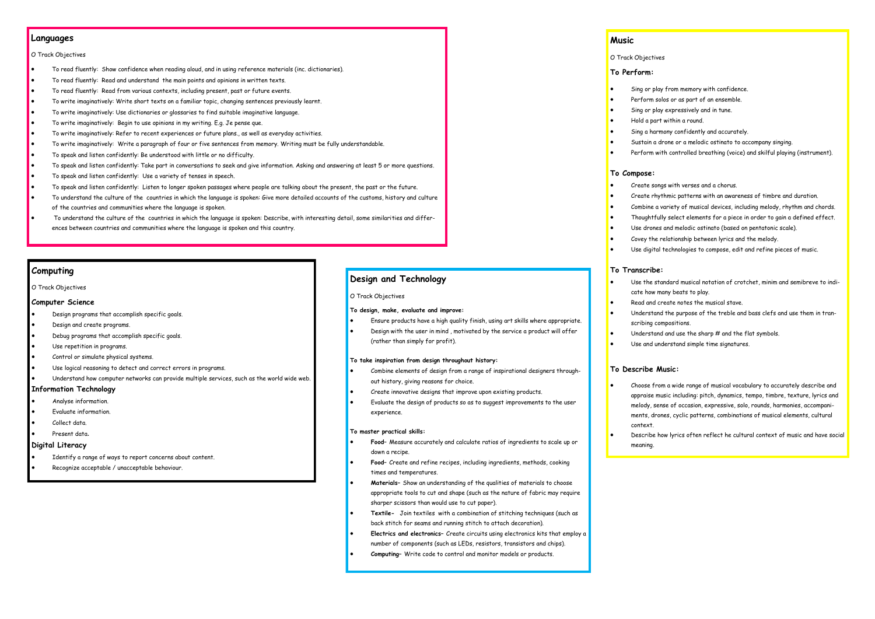## **Languages**

### O Track Objectives

- To read fluently: Show confidence when reading aloud, and in using reference materials (inc. dictionaries).
- To read fluently: Read and understand the main points and opinions in written texts.
- To read fluently: Read from various contexts, including present, past or future events.
- To write imaginatively: Write short texts on a familiar topic, changing sentences previously learnt.
- To write imaginatively: Use dictionaries or glossaries to find suitable imaginative language.
- To write imaginatively: Begin to use opinions in my writing. E.g. Je pense que.
- To write imaginatively: Refer to recent experiences or future plans., as well as everyday activities.
- To write imaginatively: Write a paragraph of four or five sentences from memory. Writing must be fully understandable.
- To speak and listen confidently: Be understood with little or no difficulty.
- To speak and listen confidently: Take part in conversations to seek and give information. Asking and answering at least 5 or more questions.
- To speak and listen confidently: Use a variety of tenses in speech.
- To speak and listen confidently: Listen to longer spoken passages where people are talking about the present, the past or the future.
- To understand the culture of the countries in which the language is spoken: Give more detailed accounts of the customs, history and culture of the countries and communities where the language is spoken.
- To understand the culture of the countries in which the language is spoken: Describe, with interesting detail, some similarities and differences between countries and communities where the language is spoken and this country.

## **Computing**

O Track Objectives

#### **Computer Science**

- Design programs that accomplish specific goals.
- Design and create programs.
- Debug programs that accomplish specific goals.
- Use repetition in programs.
- Control or simulate physical systems.
- Use logical reasoning to detect and correct errors in programs.
- Understand how computer networks can provide multiple services, such as the world wide web.

### **Information Technology**

- Analyse information.
- Evaluate information.
- Collect data.
- Present data.

## **Digital Literacy**

- Identify a range of ways to report concerns about content.
- Recognize acceptable / unacceptable behaviour.

## **Music**

## O Track Objectives

#### **To Perform:**

- 
- 
- 
- 
- 
- 

#### **To Compose:**

- Create songs with verses and a chorus.
- 
- 
- 
- 
- 
- Sing or play from memory with confidence.
- Perform solos or as part of an ensemble.
- Sing or play expressively and in tune.
- Hold a part within a round.
- Sing a harmony confidently and accurately.
- Sustain a drone or a melodic ostinato to accompany singing.
- Perform with controlled breathing (voice) and skilful playing (instrument).
- Create rhythmic patterns with an awareness of timbre and duration.
- Combine a variety of musical devices, including melody, rhythm and chords.
- Thoughtfully select elements for a piece in order to gain a defined effect.
- Use drones and melodic ostinato (based on pentatonic scale).
- Covey the relationship between lyrics and the melody.
- Use digital technologies to compose, edit and refine pieces of music.

## **To Transcribe:**

- 
- 
- 
- 
- 
- Use the standard musical notation of crotchet, minim and semibreve to indicate how many beats to play.
- Read and create notes the musical stave.
- Understand the purpose of the treble and bass clefs and use them in transcribing compositions.
- Understand and use the sharp # and the flat symbols.
- Use and understand simple time signatures.

## **To Describe Music:**

- Choose from a wide range of musical vocabulary to accurately describe and appraise music including: pitch, dynamics, tempo, timbre, texture, lyrics and melody, sense of occasion, expressive, solo, rounds, harmonies, accompaniments, drones, cyclic patterns, combinations of musical elements, cultural
- Describe how lyrics often reflect he cultural context of music and have social
- context.
- meaning.

# **Design and Technology**

#### O Track Objectives

### **To design, make, evaluate and improve:**

- Ensure products have a high quality finish, using art skills where appropriate.
- Design with the user in mind , motivated by the service a product will offer (rather than simply for profit).

#### **To take inspiration from design throughout history:**

- Combine elements of design from a range of inspirational designers throughout history, giving reasons for choice.
- Create innovative designs that improve upon existing products.
- Evaluate the design of products so as to suggest improvements to the user experience.

#### **To master practical skills:**

- **Food–** Measure accurately and calculate ratios of ingredients to scale up or down a recipe.
- **Food–** Create and refine recipes, including ingredients, methods, cooking times and temperatures.
- **Materials–** Show an understanding of the qualities of materials to choose appropriate tools to cut and shape (such as the nature of fabric may require sharper scissors than would use to cut paper).
- **Textile-** Join textiles with a combination of stitching techniques (such as back stitch for seams and running stitch to attach decoration).
- **Electrics and electronics–** Create circuits using electronics kits that employ a number of components (such as LEDs, resistors, transistors and chips).
- **Computing–** Write code to control and monitor models or products.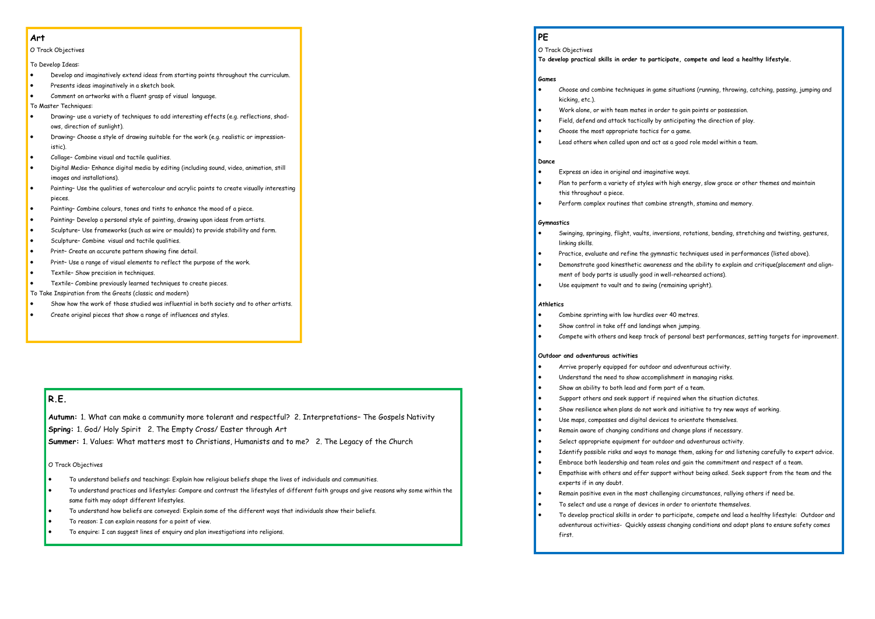## **Art**

O Track Objectives

To Develop Ideas:

- Develop and imaginatively extend ideas from starting points throughout the curriculum.
- **•** Presents ideas imaginatively in a sketch book.
- Comment on artworks with a fluent grasp of visual language.

To Master Techniques:

- Drawing– use a variety of techniques to add interesting effects (e.g. reflections, shadows, direction of sunlight).
- Drawing– Choose a style of drawing suitable for the work (e.g. realistic or impressionistic).
- Collage– Combine visual and tactile qualities.
- Digital Media– Enhance digital media by editing (including sound, video, animation, still images and installations).
- Painting– Use the qualities of watercolour and acrylic paints to create visually interesting pieces.
- Painting– Combine colours, tones and tints to enhance the mood of a piece.
- Painting– Develop a personal style of painting, drawing upon ideas from artists.
- Sculpture– Use frameworks (such as wire or moulds) to provide stability and form.
- Sculpture– Combine visual and tactile qualities.
- Print– Create an accurate pattern showing fine detail.
- Print– Use a range of visual elements to reflect the purpose of the work.
- Textile– Show precision in techniques.
- Textile– Combine previously learned techniques to create pieces.
- To Take Inspiration from the Greats (classic and modern)
- Show how the work of those studied was influential in both society and to other artists.
- Create original pieces that show a range of influences and styles.

# **PE**

O Track Objectives

#### **To develop practical skills in order to participate, compete and lead a healthy lifestyle.**

## **Games**

Choose and combine techniques in game situations (running, throwing, catching, passing, jumping and

- 
- 
- 
- kicking, etc.).
- Work alone, or with team mates in order to gain points or possession.
- Field, defend and attack tactically by anticipating the direction of play.
- Choose the most appropriate tactics for a game.
- Lead others when called upon and act as a good role model within a team.

### **Dance**

- Express an idea in original and imaginative ways. Plan to perform a variety of styles with high energy, slow grace or other themes and maintain
- this throughout a piece.
- Perform complex routines that combine strength, stamina and memory.

## **Gymnastics**

- Swinging, springing, flight, vaults, inversions, rotations, bending, stretching and twisting, gestures, linking skills.
- Practice, evaluate and refine the gymnastic techniques used in performances (listed above).
- Demonstrate good kinesthetic awareness and the ability to explain and critique(placement and alignment of body parts is usually good in well-rehearsed actions).
- Use equipment to vault and to swing (remaining upright).

## **Athletics**

- Combine sprinting with low hurdles over 40 metres.
- Show control in take off and landings when jumping.
- 

### **Outdoor and adventurous activities**

- 
- 
- 
- Compete with others and keep track of personal best performances, setting targets for improvement.
	-
	-
	-
- Support others and seek support if required when the situation dictates.
- Show resilience when plans do not work and initiative to try new ways of working.
- Use maps, compasses and digital devices to orientate themselves.
- Remain aware of changing conditions and change plans if necessary.
- Select appropriate equipment for outdoor and adventurous activity.
- Empathise with others and offer support without being asked. Seek support from the team and the
- To develop practical skills in order to participate, compete and lead a healthy lifestyle: Outdoor and adventurous activities- Quickly assess changing conditions and adapt plans to ensure safety comes
- Arrive properly equipped for outdoor and adventurous activity.
- Understand the need to show accomplishment in managing risks.
- Show an ability to both lead and form part of a team.
- 
- 
- 
- 
- 
- 
- Identify possible risks and ways to manage them, asking for and listening carefully to expert advice. Embrace both leadership and team roles and gain the commitment and respect of a team.
- 
- experts if in any doubt.
- Remain positive even in the most challenging circumstances, rallying others if need be.
- To select and use a range of devices in order to orientate themselves.
- first.

# **R.E.**

**Autumn:** 1. What can make a community more tolerant and respectful? 2. Interpretations– The Gospels Nativity **Spring:** 1. God/ Holy Spirit 2. The Empty Cross/ Easter through Art **Summer:** 1. Values: What matters most to Christians, Humanists and to me? 2. The Legacy of the Church

O Track Objectives

- To understand beliefs and teachings: Explain how religious beliefs shape the lives of individuals and communities.
- To understand practices and lifestyles: Compare and contrast the lifestyles of different faith groups and give reasons why some within the same faith may adopt different lifestyles.
- To understand how beliefs are conveyed: Explain some of the different ways that individuals show their beliefs.
- To reason: I can explain reasons for a point of view.
- To enquire: I can suggest lines of enquiry and plan investigations into religions.